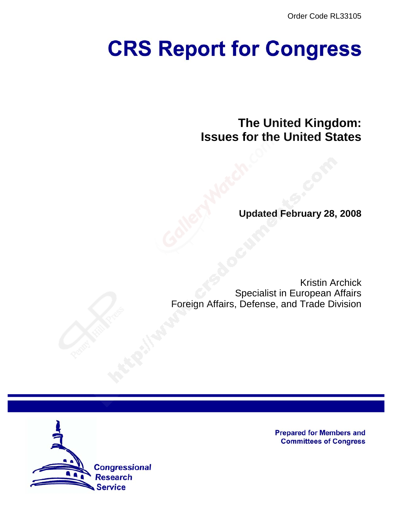Order Code RL33105

# **CRS Report for Congress**

**The United Kingdom: Issues for the United States**

**Updated February 28, 2008**

Kristin Archick Specialist in European Affairs Foreign Affairs, Defense, and Trade Division



**Prepared for Members and Committees of Congress**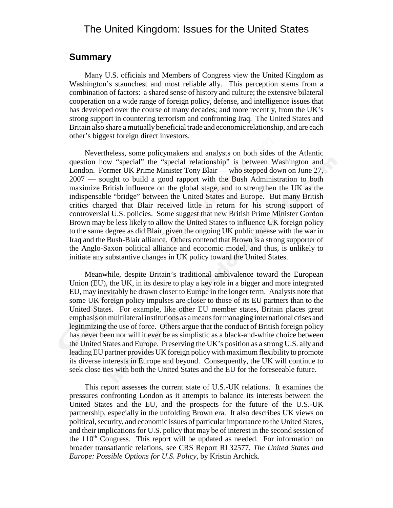# The United Kingdom: Issues for the United States

### **Summary**

Many U.S. officials and Members of Congress view the United Kingdom as Washington's staunchest and most reliable ally. This perception stems from a combination of factors: a shared sense of history and culture; the extensive bilateral cooperation on a wide range of foreign policy, defense, and intelligence issues that has developed over the course of many decades; and more recently, from the UK's strong support in countering terrorism and confronting Iraq. The United States and Britain also share a mutually beneficial trade and economic relationship, and are each other's biggest foreign direct investors.

Nevertheless, some policymakers and analysts on both sides of the Atlantic question how "special" the "special relationship" is between Washington and London. Former UK Prime Minister Tony Blair — who stepped down on June 27, 2007 — sought to build a good rapport with the Bush Administration to both maximize British influence on the global stage, and to strengthen the UK as the indispensable "bridge" between the United States and Europe. But many British critics charged that Blair received little in return for his strong support of controversial U.S. policies. Some suggest that new British Prime Minister Gordon Brown may be less likely to allow the United States to influence UK foreign policy to the same degree as did Blair, given the ongoing UK public unease with the war in Iraq and the Bush-Blair alliance. Others contend that Brown is a strong supporter of the Anglo-Saxon political alliance and economic model, and thus, is unlikely to initiate any substantive changes in UK policy toward the United States.

Meanwhile, despite Britain's traditional ambivalence toward the European Union (EU), the UK, in its desire to play a key role in a bigger and more integrated EU, may inevitably be drawn closer to Europe in the longer term. Analysts note that some UK foreign policy impulses are closer to those of its EU partners than to the United States. For example, like other EU member states, Britain places great emphasis on multilateral institutions as a means for managing international crises and legitimizing the use of force. Others argue that the conduct of British foreign policy has never been nor will it ever be as simplistic as a black-and-white choice between the United States and Europe. Preserving the UK's position as a strong U.S. ally and leading EU partner provides UK foreign policy with maximum flexibility to promote its diverse interests in Europe and beyond. Consequently, the UK will continue to seek close ties with both the United States and the EU for the foreseeable future.

This report assesses the current state of U.S.-UK relations. It examines the pressures confronting London as it attempts to balance its interests between the United States and the EU, and the prospects for the future of the U.S.-UK partnership, especially in the unfolding Brown era. It also describes UK views on political, security, and economic issues of particular importance to the United States, and their implications for U.S. policy that may be of interest in the second session of the  $110<sup>th</sup>$  Congress. This report will be updated as needed. For information on broader transatlantic relations, see CRS Report RL32577, *The United States and Europe: Possible Options for U.S. Policy*, by Kristin Archick.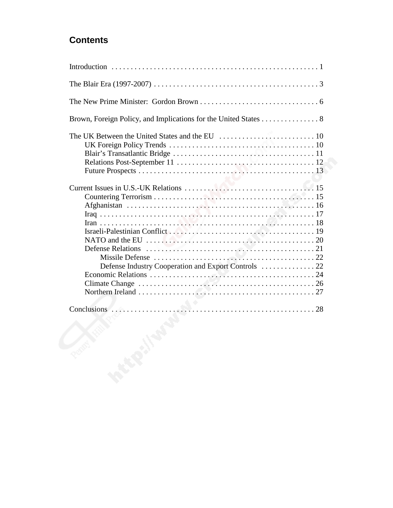# **Contents**

| Brown, Foreign Policy, and Implications for the United States 8 |
|-----------------------------------------------------------------|
|                                                                 |
|                                                                 |
|                                                                 |
| <b>PERE</b>                                                     |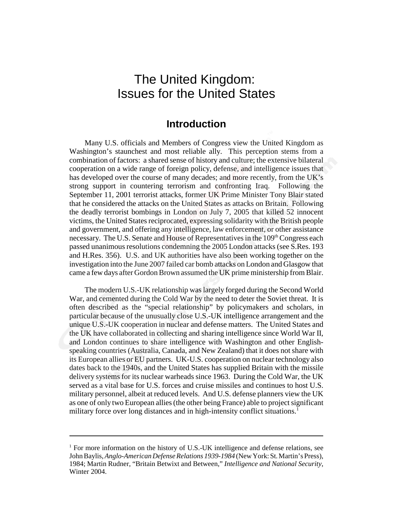# The United Kingdom: Issues for the United States

## **Introduction**

Many U.S. officials and Members of Congress view the United Kingdom as Washington's staunchest and most reliable ally. This perception stems from a combination of factors: a shared sense of history and culture; the extensive bilateral cooperation on a wide range of foreign policy, defense, and intelligence issues that has developed over the course of many decades; and more recently, from the UK's strong support in countering terrorism and confronting Iraq. Following the September 11, 2001 terrorist attacks, former UK Prime Minister Tony Blair stated that he considered the attacks on the United States as attacks on Britain. Following the deadly terrorist bombings in London on July 7, 2005 that killed 52 innocent victims, the United States reciprocated, expressing solidarity with the British people and government, and offering any intelligence, law enforcement, or other assistance necessary. The U.S. Senate and House of Representatives in the 109<sup>th</sup> Congress each passed unanimous resolutions condemning the 2005 London attacks (see S.Res. 193 and H.Res. 356). U.S. and UK authorities have also been working together on the investigation into the June 2007 failed car bomb attacks on London and Glasgow that came a few days after Gordon Brown assumed the UK prime ministership from Blair.

The modern U.S.-UK relationship was largely forged during the Second World War, and cemented during the Cold War by the need to deter the Soviet threat. It is often described as the "special relationship" by policymakers and scholars, in particular because of the unusually close U.S.-UK intelligence arrangement and the unique U.S.-UK cooperation in nuclear and defense matters. The United States and the UK have collaborated in collecting and sharing intelligence since World War II, and London continues to share intelligence with Washington and other Englishspeaking countries (Australia, Canada, and New Zealand) that it does not share with its European allies or EU partners. UK-U.S. cooperation on nuclear technology also dates back to the 1940s, and the United States has supplied Britain with the missile delivery systems for its nuclear warheads since 1963. During the Cold War, the UK served as a vital base for U.S. forces and cruise missiles and continues to host U.S. military personnel, albeit at reduced levels. And U.S. defense planners view the UK as one of only two European allies (the other being France) able to project significant military force over long distances and in high-intensity conflict situations.<sup>1</sup>

<sup>&</sup>lt;sup>1</sup> For more information on the history of U.S.-UK intelligence and defense relations, see John Baylis, *Anglo-American Defense Relations 1939-1984* (New York: St. Martin's Press), 1984; Martin Rudner, "Britain Betwixt and Between," *Intelligence and National Security*, Winter 2004.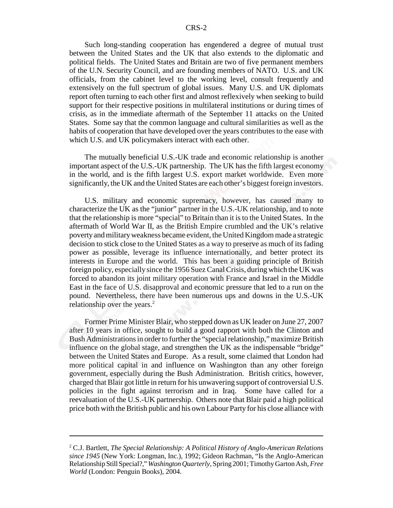Such long-standing cooperation has engendered a degree of mutual trust between the United States and the UK that also extends to the diplomatic and political fields. The United States and Britain are two of five permanent members of the U.N. Security Council, and are founding members of NATO. U.S. and UK officials, from the cabinet level to the working level, consult frequently and extensively on the full spectrum of global issues. Many U.S. and UK diplomats report often turning to each other first and almost reflexively when seeking to build support for their respective positions in multilateral institutions or during times of crisis, as in the immediate aftermath of the September 11 attacks on the United States. Some say that the common language and cultural similarities as well as the habits of cooperation that have developed over the years contributes to the ease with which U.S. and UK policymakers interact with each other.

The mutually beneficial U.S.-UK trade and economic relationship is another important aspect of the U.S.-UK partnership. The UK has the fifth largest economy in the world, and is the fifth largest U.S. export market worldwide. Even more significantly, the UK and the United States are each other's biggest foreign investors.

U.S. military and economic supremacy, however, has caused many to characterize the UK as the "junior" partner in the U.S.-UK relationship, and to note that the relationship is more "special" to Britain than it is to the United States. In the aftermath of World War II, as the British Empire crumbled and the UK's relative poverty and military weakness became evident, the United Kingdom made a strategic decision to stick close to the United States as a way to preserve as much of its fading power as possible, leverage its influence internationally, and better protect its interests in Europe and the world. This has been a guiding principle of British foreign policy, especially since the 1956 Suez Canal Crisis, during which the UK was forced to abandon its joint military operation with France and Israel in the Middle East in the face of U.S. disapproval and economic pressure that led to a run on the pound. Nevertheless, there have been numerous ups and downs in the U.S.-UK relationship over the years. $<sup>2</sup>$ </sup>

Former Prime Minister Blair, who stepped down as UK leader on June 27, 2007 after 10 years in office, sought to build a good rapport with both the Clinton and Bush Administrations in order to further the "special relationship," maximize British influence on the global stage, and strengthen the UK as the indispensable "bridge" between the United States and Europe. As a result, some claimed that London had more political capital in and influence on Washington than any other foreign government, especially during the Bush Administration. British critics, however, charged that Blair got little in return for his unwavering support of controversial U.S. policies in the fight against terrorism and in Iraq. Some have called for a reevaluation of the U.S.-UK partnership. Others note that Blair paid a high political price both with the British public and his own Labour Party for his close alliance with

<sup>2</sup> C.J. Bartlett, *The Special Relationship: A Political History of Anglo-American Relations since 1945* (New York: Longman, Inc.), 1992; Gideon Rachman, "Is the Anglo-American Relationship Still Special?," *Washington Quarterly*, Spring 2001; Timothy Garton Ash, *Free World* (London: Penguin Books), 2004.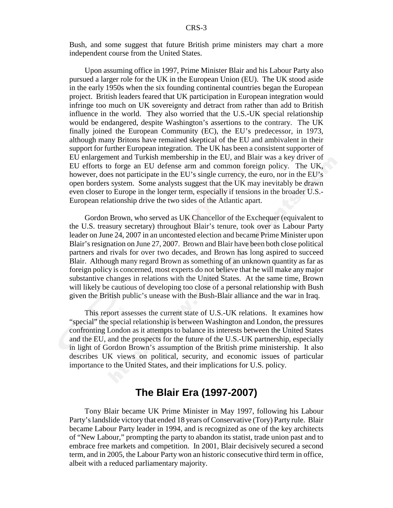Bush, and some suggest that future British prime ministers may chart a more independent course from the United States.

Upon assuming office in 1997, Prime Minister Blair and his Labour Party also pursued a larger role for the UK in the European Union (EU). The UK stood aside in the early 1950s when the six founding continental countries began the European project. British leaders feared that UK participation in European integration would infringe too much on UK sovereignty and detract from rather than add to British influence in the world. They also worried that the U.S.-UK special relationship would be endangered, despite Washington's assertions to the contrary. The UK finally joined the European Community (EC), the EU's predecessor, in 1973, although many Britons have remained skeptical of the EU and ambivalent in their support for further European integration. The UK has been a consistent supporter of EU enlargement and Turkish membership in the EU, and Blair was a key driver of EU efforts to forge an EU defense arm and common foreign policy. The UK, however, does not participate in the EU's single currency, the euro, nor in the EU's open borders system. Some analysts suggest that the UK may inevitably be drawn even closer to Europe in the longer term, especially if tensions in the broader U.S.- European relationship drive the two sides of the Atlantic apart.

Gordon Brown, who served as UK Chancellor of the Exchequer (equivalent to the U.S. treasury secretary) throughout Blair's tenure, took over as Labour Party leader on June 24, 2007 in an uncontested election and became Prime Minister upon Blair's resignation on June 27, 2007. Brown and Blair have been both close political partners and rivals for over two decades, and Brown has long aspired to succeed Blair. Although many regard Brown as something of an unknown quantity as far as foreign policy is concerned, most experts do not believe that he will make any major substantive changes in relations with the United States. At the same time, Brown will likely be cautious of developing too close of a personal relationship with Bush given the British public's unease with the Bush-Blair alliance and the war in Iraq.

This report assesses the current state of U.S.-UK relations. It examines how "special" the special relationship is between Washington and London, the pressures confronting London as it attempts to balance its interests between the United States and the EU, and the prospects for the future of the U.S.-UK partnership, especially in light of Gordon Brown's assumption of the British prime ministership. It also describes UK views on political, security, and economic issues of particular importance to the United States, and their implications for U.S. policy.

# **The Blair Era (1997-2007)**

Tony Blair became UK Prime Minister in May 1997, following his Labour Party's landslide victory that ended 18 years of Conservative (Tory) Party rule. Blair became Labour Party leader in 1994, and is recognized as one of the key architects of "New Labour," prompting the party to abandon its statist, trade union past and to embrace free markets and competition. In 2001, Blair decisively secured a second term, and in 2005, the Labour Party won an historic consecutive third term in office, albeit with a reduced parliamentary majority.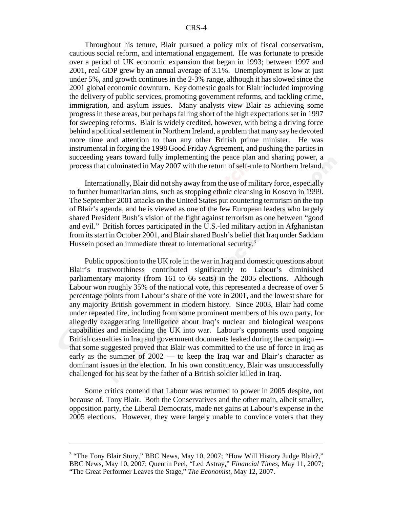Throughout his tenure, Blair pursued a policy mix of fiscal conservatism, cautious social reform, and international engagement. He was fortunate to preside over a period of UK economic expansion that began in 1993; between 1997 and 2001, real GDP grew by an annual average of 3.1%. Unemployment is low at just under 5%, and growth continues in the 2-3% range, although it has slowed since the 2001 global economic downturn. Key domestic goals for Blair included improving the delivery of public services, promoting government reforms, and tackling crime, immigration, and asylum issues. Many analysts view Blair as achieving some progress in these areas, but perhaps falling short of the high expectations set in 1997 for sweeping reforms. Blair is widely credited, however, with being a driving force behind a political settlement in Northern Ireland, a problem that many say he devoted more time and attention to than any other British prime minister. He was instrumental in forging the 1998 Good Friday Agreement, and pushing the parties in succeeding years toward fully implementing the peace plan and sharing power, a process that culminated in May 2007 with the return of self-rule to Northern Ireland.

Internationally, Blair did not shy away from the use of military force, especially to further humanitarian aims, such as stopping ethnic cleansing in Kosovo in 1999. The September 2001 attacks on the United States put countering terrorism on the top of Blair's agenda, and he is viewed as one of the few European leaders who largely shared President Bush's vision of the fight against terrorism as one between "good and evil." British forces participated in the U.S.-led military action in Afghanistan from its start in October 2001, and Blair shared Bush's belief that Iraq under Saddam Hussein posed an immediate threat to international security.<sup>3</sup>

Public opposition to the UK role in the war in Iraq and domestic questions about Blair's trustworthiness contributed significantly to Labour's diminished parliamentary majority (from 161 to 66 seats) in the 2005 elections. Although Labour won roughly 35% of the national vote, this represented a decrease of over 5 percentage points from Labour's share of the vote in 2001, and the lowest share for any majority British government in modern history. Since 2003, Blair had come under repeated fire, including from some prominent members of his own party, for allegedly exaggerating intelligence about Iraq's nuclear and biological weapons capabilities and misleading the UK into war. Labour's opponents used ongoing British casualties in Iraq and government documents leaked during the campaign that some suggested proved that Blair was committed to the use of force in Iraq as early as the summer of 2002 — to keep the Iraq war and Blair's character as dominant issues in the election. In his own constituency, Blair was unsuccessfully challenged for his seat by the father of a British soldier killed in Iraq.

Some critics contend that Labour was returned to power in 2005 despite, not because of, Tony Blair. Both the Conservatives and the other main, albeit smaller, opposition party, the Liberal Democrats, made net gains at Labour's expense in the 2005 elections. However, they were largely unable to convince voters that they

<sup>&</sup>lt;sup>3</sup> "The Tony Blair Story," BBC News, May 10, 2007; "How Will History Judge Blair?," BBC News, May 10, 2007; Quentin Peel, "Led Astray," *Financial Times*, May 11, 2007; "The Great Performer Leaves the Stage," *The Economist*, May 12, 2007.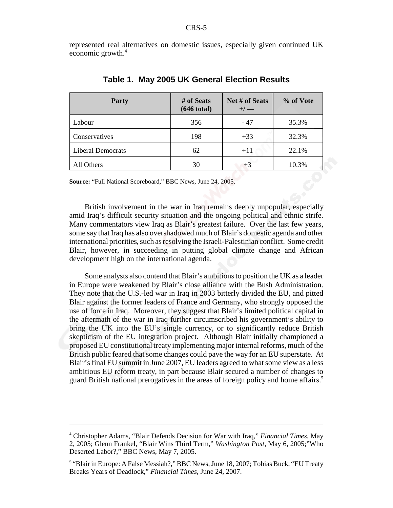represented real alternatives on domestic issues, especially given continued UK economic growth.<sup>4</sup>

| Party                    | # of Seats<br>$(646 \text{ total})$ | Net # of Seats<br>$+/-$ | % of Vote |
|--------------------------|-------------------------------------|-------------------------|-----------|
| Labour                   | 356                                 | - 47                    | 35.3%     |
| Conservatives            | 198                                 | $+33$                   | 32.3%     |
| <b>Liberal Democrats</b> | 62                                  | $+11$                   | 22.1%     |
| All Others               | 30                                  | $+3$                    | 10.3%     |

#### **Table 1. May 2005 UK General Election Results**

**Source:** "Full National Scoreboard," BBC News, June 24, 2005.

British involvement in the war in Iraq remains deeply unpopular, especially amid Iraq's difficult security situation and the ongoing political and ethnic strife. Many commentators view Iraq as Blair's greatest failure. Over the last few years, some say that Iraq has also overshadowed much of Blair's domestic agenda and other international priorities, such as resolving the Israeli-Palestinian conflict. Some credit Blair, however, in succeeding in putting global climate change and African development high on the international agenda.

Some analysts also contend that Blair's ambitions to position the UK as a leader in Europe were weakened by Blair's close alliance with the Bush Administration. They note that the U.S.-led war in Iraq in 2003 bitterly divided the EU, and pitted Blair against the former leaders of France and Germany, who strongly opposed the use of force in Iraq. Moreover, they suggest that Blair's limited political capital in the aftermath of the war in Iraq further circumscribed his government's ability to bring the UK into the EU's single currency, or to significantly reduce British skepticism of the EU integration project. Although Blair initially championed a proposed EU constitutional treaty implementing major internal reforms, much of the British public feared that some changes could pave the way for an EU superstate. At Blair's final EU summit in June 2007, EU leaders agreed to what some view as a less ambitious EU reform treaty, in part because Blair secured a number of changes to guard British national prerogatives in the areas of foreign policy and home affairs.<sup>5</sup>

<sup>4</sup> Christopher Adams, "Blair Defends Decision for War with Iraq," *Financial Times*, May 2, 2005; Glenn Frankel, "Blair Wins Third Term," *Washington Post,* May 6, 2005;"Who Deserted Labor?," BBC News, May 7, 2005.

<sup>&</sup>lt;sup>5</sup> "Blair in Europe: A False Messiah?," BBC News, June 18, 2007; Tobias Buck, "EU Treaty Breaks Years of Deadlock," *Financial Times*, June 24, 2007.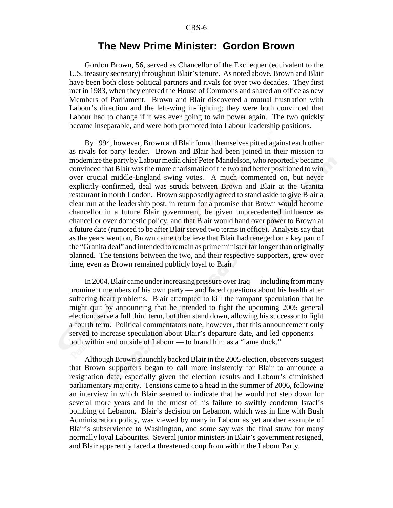## **The New Prime Minister: Gordon Brown**

Gordon Brown, 56, served as Chancellor of the Exchequer (equivalent to the U.S. treasury secretary) throughout Blair's tenure. As noted above, Brown and Blair have been both close political partners and rivals for over two decades. They first met in 1983, when they entered the House of Commons and shared an office as new Members of Parliament. Brown and Blair discovered a mutual frustration with Labour's direction and the left-wing in-fighting; they were both convinced that Labour had to change if it was ever going to win power again. The two quickly became inseparable, and were both promoted into Labour leadership positions.

By 1994, however, Brown and Blair found themselves pitted against each other as rivals for party leader. Brown and Blair had been joined in their mission to modernize the party by Labour media chief Peter Mandelson, who reportedly became convinced that Blair was the more charismatic of the two and better positioned to win over crucial middle-England swing votes. A much commented on, but never explicitly confirmed, deal was struck between Brown and Blair at the Granita restaurant in north London. Brown supposedly agreed to stand aside to give Blair a clear run at the leadership post, in return for a promise that Brown would become chancellor in a future Blair government, be given unprecedented influence as chancellor over domestic policy, and that Blair would hand over power to Brown at a future date (rumored to be after Blair served two terms in office). Analysts say that as the years went on, Brown came to believe that Blair had reneged on a key part of the "Granita deal" and intended to remain as prime minister far longer than originally planned. The tensions between the two, and their respective supporters, grew over time, even as Brown remained publicly loyal to Blair.

In 2004, Blair came under increasing pressure over Iraq — including from many prominent members of his own party — and faced questions about his health after suffering heart problems. Blair attempted to kill the rampant speculation that he might quit by announcing that he intended to fight the upcoming 2005 general election, serve a full third term, but then stand down, allowing his successor to fight a fourth term. Political commentators note, however, that this announcement only served to increase speculation about Blair's departure date, and led opponents both within and outside of Labour — to brand him as a "lame duck."

Although Brown staunchly backed Blair in the 2005 election, observers suggest that Brown supporters began to call more insistently for Blair to announce a resignation date, especially given the election results and Labour's diminished parliamentary majority. Tensions came to a head in the summer of 2006, following an interview in which Blair seemed to indicate that he would not step down for several more years and in the midst of his failure to swiftly condemn Israel's bombing of Lebanon. Blair's decision on Lebanon, which was in line with Bush Administration policy, was viewed by many in Labour as yet another example of Blair's subservience to Washington, and some say was the final straw for many normally loyal Labourites. Several junior ministers in Blair's government resigned, and Blair apparently faced a threatened coup from within the Labour Party.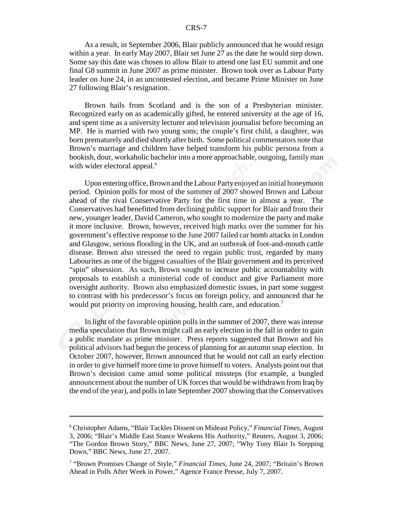As a result, in September 2006, Blair publicly announced that he would resign within a year. In early May 2007, Blair set June 27 as the date he would step down. Some say this date was chosen to allow Blair to attend one last EU summit and one final G8 summit in June 2007 as prime minister. Brown took over as Labour Party leader on June 24, in an uncontested election, and became Prime Minister on June 27 following Blair's resignation.

Brown hails from Scotland and is the son of a Presbyterian minister. Recognized early on as academically gifted, he entered university at the age of 16, and spent time as a university lecturer and television journalist before becoming an MP. He is married with two young sons; the couple's first child, a daughter, was born prematurely and died shortly after birth. Some political commentators note that Brown's marriage and children have helped transform his public persona from a bookish, dour, workaholic bachelor into a more approachable, outgoing, family man with wider electoral appeal.<sup>6</sup>

Upon entering office, Brown and the Labour Party enjoyed an initial honeymoon period. Opinion polls for most of the summer of 2007 showed Brown and Labour ahead of the rival Conservative Party for the first time in almost a year. The Conservatives had benefitted from declining public support for Blair and from their new, younger leader, David Cameron, who sought to modernize the party and make it more inclusive. Brown, however, received high marks over the summer for his government's effective response to the June 2007 failed car bomb attacks in London and Glasgow, serious flooding in the UK, and an outbreak of foot-and-mouth cattle disease. Brown also stressed the need to regain public trust, regarded by many Labourites as one of the biggest casualties of the Blair government and its perceived "spin" obsession. As such, Brown sought to increase public accountability with proposals to establish a ministerial code of conduct and give Parliament more oversight authority. Brown also emphasized domestic issues, in part some suggest to contrast with his predecessor's focus on foreign policy, and announced that he would put priority on improving housing, health care, and education.<sup>7</sup>

In light of the favorable opinion polls in the summer of 2007, there was intense media speculation that Brown might call an early election in the fall in order to gain a public mandate as prime minister. Press reports suggested that Brown and his political advisors had begun the process of planning for an autumn snap election. In October 2007, however, Brown announced that he would not call an early election in order to give himself more time to prove himself to voters. Analysts point out that Brown's decision came amid some political missteps (for example, a bungled announcement about the number of UK forces that would be withdrawn from Iraq by the end of the year), and polls in late September 2007 showing that the Conservatives

<sup>6</sup> Christopher Adams, "Blair Tackles Dissent on Mideast Policy," *Financial Times*, August 3, 2006; "Blair's Middle East Stance Weakens His Authority," Reuters, August 3, 2006; "The Gordon Brown Story," BBC News, June 27, 2007; "Why Tony Blair Is Stepping Down," BBC News, June 27, 2007.

<sup>7</sup> "Brown Promises Change of Style," *Financial Times*, June 24, 2007; "Britain's Brown Ahead in Polls After Week in Power," Agence France Presse, July 7, 2007.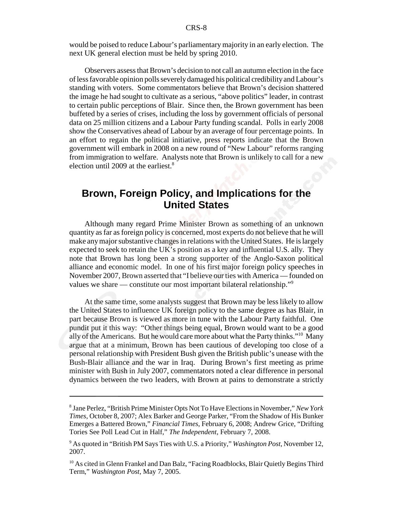would be poised to reduce Labour's parliamentary majority in an early election. The next UK general election must be held by spring 2010.

Observers assess that Brown's decision to not call an autumn election in the face of less favorable opinion polls severely damaged his political credibility and Labour's standing with voters. Some commentators believe that Brown's decision shattered the image he had sought to cultivate as a serious, "above politics" leader, in contrast to certain public perceptions of Blair. Since then, the Brown government has been buffeted by a series of crises, including the loss by government officials of personal data on 25 million citizens and a Labour Party funding scandal. Polls in early 2008 show the Conservatives ahead of Labour by an average of four percentage points. In an effort to regain the political initiative, press reports indicate that the Brown government will embark in 2008 on a new round of "New Labour" reforms ranging from immigration to welfare. Analysts note that Brown is unlikely to call for a new election until 2009 at the earliest.<sup>8</sup>

# **Brown, Foreign Policy, and Implications for the United States**

Although many regard Prime Minister Brown as something of an unknown quantity as far as foreign policy is concerned, most experts do not believe that he will make any major substantive changes in relations with the United States. He is largely expected to seek to retain the UK's position as a key and influential U.S. ally. They note that Brown has long been a strong supporter of the Anglo-Saxon political alliance and economic model. In one of his first major foreign policy speeches in November 2007, Brown asserted that "I believe our ties with America — founded on values we share — constitute our most important bilateral relationship."<sup>9</sup>

At the same time, some analysts suggest that Brown may be less likely to allow the United States to influence UK foreign policy to the same degree as has Blair, in part because Brown is viewed as more in tune with the Labour Party faithful. One pundit put it this way: "Other things being equal, Brown would want to be a good ally of the Americans. But he would care more about what the Party thinks."10 Many argue that at a minimum, Brown has been cautious of developing too close of a personal relationship with President Bush given the British public's unease with the Bush-Blair alliance and the war in Iraq. During Brown's first meeting as prime minister with Bush in July 2007, commentators noted a clear difference in personal dynamics between the two leaders, with Brown at pains to demonstrate a strictly

<sup>8</sup> Jane Perlez, "British Prime Minister Opts Not To Have Elections in November," *New York Times*, October 8, 2007; Alex Barker and George Parker, "From the Shadow of His Bunker Emerges a Battered Brown," *Financial Times*, February 6, 2008; Andrew Grice, "Drifting Tories See Poll Lead Cut in Half," *The Independent*, February 7, 2008.

<sup>9</sup> As quoted in "British PM Says Ties with U.S. a Priority," *Washington Post*, November 12, 2007.

<sup>&</sup>lt;sup>10</sup> As cited in Glenn Frankel and Dan Balz, "Facing Roadblocks, Blair Quietly Begins Third Term," *Washington Post*, May 7, 2005.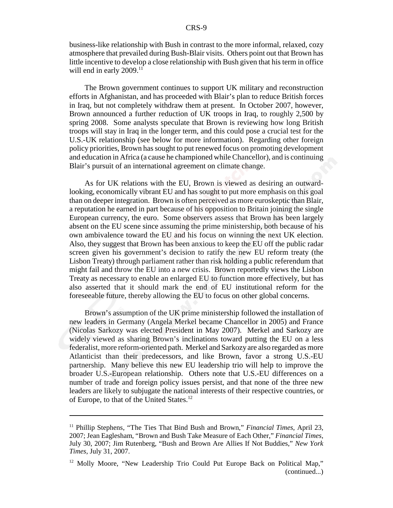business-like relationship with Bush in contrast to the more informal, relaxed, cozy atmosphere that prevailed during Bush-Blair visits. Others point out that Brown has little incentive to develop a close relationship with Bush given that his term in office will end in early  $2009$ .<sup>11</sup>

The Brown government continues to support UK military and reconstruction efforts in Afghanistan, and has proceeded with Blair's plan to reduce British forces in Iraq, but not completely withdraw them at present. In October 2007, however, Brown announced a further reduction of UK troops in Iraq, to roughly 2,500 by spring 2008. Some analysts speculate that Brown is reviewing how long British troops will stay in Iraq in the longer term, and this could pose a crucial test for the U.S.-UK relationship (see below for more information). Regarding other foreign policy priorities, Brown has sought to put renewed focus on promoting development and education in Africa (a cause he championed while Chancellor), and is continuing Blair's pursuit of an international agreement on climate change.

As for UK relations with the EU, Brown is viewed as desiring an outwardlooking, economically vibrant EU and has sought to put more emphasis on this goal than on deeper integration. Brown is often perceived as more euroskeptic than Blair, a reputation he earned in part because of his opposition to Britain joining the single European currency, the euro. Some observers assess that Brown has been largely absent on the EU scene since assuming the prime ministership, both because of his own ambivalence toward the EU and his focus on winning the next UK election. Also, they suggest that Brown has been anxious to keep the EU off the public radar screen given his government's decision to ratify the new EU reform treaty (the Lisbon Treaty) through parliament rather than risk holding a public referendum that might fail and throw the EU into a new crisis. Brown reportedly views the Lisbon Treaty as necessary to enable an enlarged EU to function more effectively, but has also asserted that it should mark the end of EU institutional reform for the foreseeable future, thereby allowing the EU to focus on other global concerns.

Brown's assumption of the UK prime ministership followed the installation of new leaders in Germany (Angela Merkel became Chancellor in 2005) and France (Nicolas Sarkozy was elected President in May 2007). Merkel and Sarkozy are widely viewed as sharing Brown's inclinations toward putting the EU on a less federalist, more reform-oriented path. Merkel and Sarkozy are also regarded as more Atlanticist than their predecessors, and like Brown, favor a strong U.S.-EU partnership. Many believe this new EU leadership trio will help to improve the broader U.S.-European relationship. Others note that U.S.-EU differences on a number of trade and foreign policy issues persist, and that none of the three new leaders are likely to subjugate the national interests of their respective countries, or of Europe, to that of the United States.<sup>12</sup>

<sup>11</sup> Phillip Stephens, "The Ties That Bind Bush and Brown," *Financial Times*, April 23, 2007; Jean Eaglesham, "Brown and Bush Take Measure of Each Other," *Financial Times*, July 30, 2007; Jim Rutenberg, "Bush and Brown Are Allies If Not Buddies," *New York Times*, July 31, 2007.

<sup>&</sup>lt;sup>12</sup> Molly Moore, "New Leadership Trio Could Put Europe Back on Political Map," (continued...)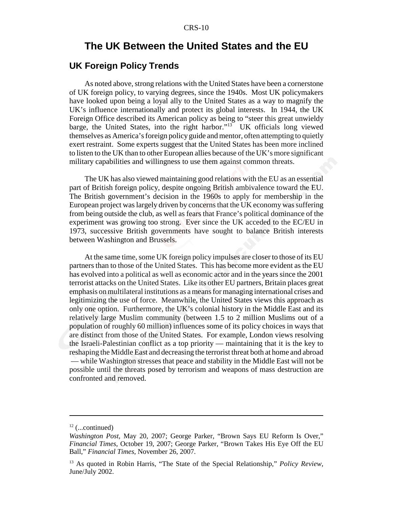## **The UK Between the United States and the EU**

#### **UK Foreign Policy Trends**

As noted above, strong relations with the United States have been a cornerstone of UK foreign policy, to varying degrees, since the 1940s. Most UK policymakers have looked upon being a loyal ally to the United States as a way to magnify the UK's influence internationally and protect its global interests. In 1944, the UK Foreign Office described its American policy as being to "steer this great unwieldy barge, the United States, into the right harbor."<sup>13</sup> UK officials long viewed themselves as America's foreign policy guide and mentor, often attempting to quietly exert restraint. Some experts suggest that the United States has been more inclined to listen to the UK than to other European allies because of the UK's more significant military capabilities and willingness to use them against common threats.

The UK has also viewed maintaining good relations with the EU as an essential part of British foreign policy, despite ongoing British ambivalence toward the EU. The British government's decision in the 1960s to apply for membership in the European project was largely driven by concerns that the UK economy was suffering from being outside the club, as well as fears that France's political dominance of the experiment was growing too strong. Ever since the UK acceded to the EC/EU in 1973, successive British governments have sought to balance British interests between Washington and Brussels.

At the same time, some UK foreign policy impulses are closer to those of its EU partners than to those of the United States. This has become more evident as the EU has evolved into a political as well as economic actor and in the years since the 2001 terrorist attacks on the United States. Like its other EU partners, Britain places great emphasis on multilateral institutions as a means for managing international crises and legitimizing the use of force. Meanwhile, the United States views this approach as only one option. Furthermore, the UK's colonial history in the Middle East and its relatively large Muslim community (between 1.5 to 2 million Muslims out of a population of roughly 60 million) influences some of its policy choices in ways that are distinct from those of the United States. For example, London views resolving the Israeli-Palestinian conflict as a top priority — maintaining that it is the key to reshaping the Middle East and decreasing the terrorist threat both at home and abroad — while Washington stresses that peace and stability in the Middle East will not be possible until the threats posed by terrorism and weapons of mass destruction are confronted and removed.

 $12$  (...continued)

*Washington Post*, May 20, 2007; George Parker, "Brown Says EU Reform Is Over," *Financial Times*, October 19, 2007; George Parker, "Brown Takes His Eye Off the EU Ball," *Financial Times*, November 26, 2007.

<sup>13</sup> As quoted in Robin Harris, "The State of the Special Relationship," *Policy Review*, June/July 2002.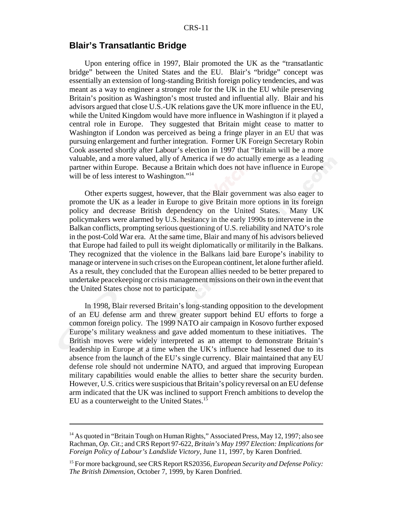## **Blair's Transatlantic Bridge**

Upon entering office in 1997, Blair promoted the UK as the "transatlantic bridge" between the United States and the EU. Blair's "bridge" concept was essentially an extension of long-standing British foreign policy tendencies, and was meant as a way to engineer a stronger role for the UK in the EU while preserving Britain's position as Washington's most trusted and influential ally. Blair and his advisors argued that close U.S.-UK relations gave the UK more influence in the EU, while the United Kingdom would have more influence in Washington if it played a central role in Europe. They suggested that Britain might cease to matter to Washington if London was perceived as being a fringe player in an EU that was pursuing enlargement and further integration. Former UK Foreign Secretary Robin Cook asserted shortly after Labour's election in 1997 that "Britain will be a more valuable, and a more valued, ally of America if we do actually emerge as a leading partner within Europe. Because a Britain which does not have influence in Europe will be of less interest to Washington."<sup>14</sup>

Other experts suggest, however, that the Blair government was also eager to promote the UK as a leader in Europe to give Britain more options in its foreign policy and decrease British dependency on the United States. Many UK policymakers were alarmed by U.S. hesitancy in the early 1990s to intervene in the Balkan conflicts, prompting serious questioning of U.S. reliability and NATO's role in the post-Cold War era. At the same time, Blair and many of his advisors believed that Europe had failed to pull its weight diplomatically or militarily in the Balkans. They recognized that the violence in the Balkans laid bare Europe's inability to manage or intervene in such crises on the European continent, let alone further afield. As a result, they concluded that the European allies needed to be better prepared to undertake peacekeeping or crisis management missions on their own in the event that the United States chose not to participate.

In 1998, Blair reversed Britain's long-standing opposition to the development of an EU defense arm and threw greater support behind EU efforts to forge a common foreign policy. The 1999 NATO air campaign in Kosovo further exposed Europe's military weakness and gave added momentum to these initiatives. The British moves were widely interpreted as an attempt to demonstrate Britain's leadership in Europe at a time when the UK's influence had lessened due to its absence from the launch of the EU's single currency. Blair maintained that any EU defense role should not undermine NATO, and argued that improving European military capabilities would enable the allies to better share the security burden. However, U.S. critics were suspicious that Britain's policy reversal on an EU defense arm indicated that the UK was inclined to support French ambitions to develop the EU as a counterweight to the United States.15

<sup>&</sup>lt;sup>14</sup> As quoted in "Britain Tough on Human Rights," Associated Press, May 12, 1997; also see Rachman, *Op. Cit.*; and CRS Report 97-622, *Britain's May 1997 Election: Implications for Foreign Policy of Labour's Landslide Victory*, June 11, 1997, by Karen Donfried.

<sup>15</sup> For more background, see CRS Report RS20356, *European Security and Defense Policy: The British Dimension*, October 7, 1999, by Karen Donfried.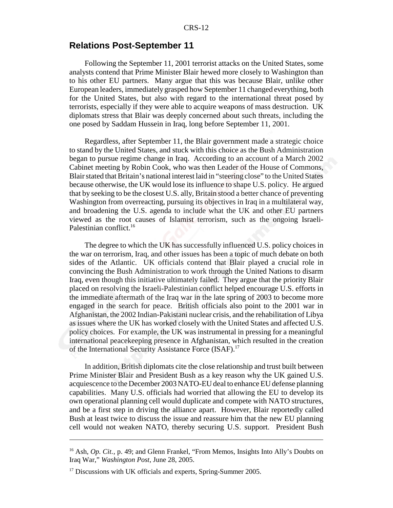## **Relations Post-September 11**

Following the September 11, 2001 terrorist attacks on the United States, some analysts contend that Prime Minister Blair hewed more closely to Washington than to his other EU partners. Many argue that this was because Blair, unlike other European leaders, immediately grasped how September 11 changed everything, both for the United States, but also with regard to the international threat posed by terrorists, especially if they were able to acquire weapons of mass destruction. UK diplomats stress that Blair was deeply concerned about such threats, including the one posed by Saddam Hussein in Iraq, long before September 11, 2001.

Regardless, after September 11, the Blair government made a strategic choice to stand by the United States, and stuck with this choice as the Bush Administration began to pursue regime change in Iraq. According to an account of a March 2002 Cabinet meeting by Robin Cook, who was then Leader of the House of Commons, Blair stated that Britain's national interest laid in "steering close" to the United States because otherwise, the UK would lose its influence to shape U.S. policy. He argued that by seeking to be the closest U.S. ally, Britain stood a better chance of preventing Washington from overreacting, pursuing its objectives in Iraq in a multilateral way, and broadening the U.S. agenda to include what the UK and other EU partners viewed as the root causes of Islamist terrorism, such as the ongoing Israeli-Palestinian conflict.<sup>16</sup>

The degree to which the UK has successfully influenced U.S. policy choices in the war on terrorism, Iraq, and other issues has been a topic of much debate on both sides of the Atlantic. UK officials contend that Blair played a crucial role in convincing the Bush Administration to work through the United Nations to disarm Iraq, even though this initiative ultimately failed. They argue that the priority Blair placed on resolving the Israeli-Palestinian conflict helped encourage U.S. efforts in the immediate aftermath of the Iraq war in the late spring of 2003 to become more engaged in the search for peace. British officials also point to the 2001 war in Afghanistan, the 2002 Indian-Pakistani nuclear crisis, and the rehabilitation of Libya as issues where the UK has worked closely with the United States and affected U.S. policy choices. For example, the UK was instrumental in pressing for a meaningful international peacekeeping presence in Afghanistan, which resulted in the creation of the International Security Assistance Force (ISAF).<sup>17</sup>

In addition, British diplomats cite the close relationship and trust built between Prime Minister Blair and President Bush as a key reason why the UK gained U.S. acquiescence to the December 2003 NATO-EU deal to enhance EU defense planning capabilities. Many U.S. officials had worried that allowing the EU to develop its own operational planning cell would duplicate and compete with NATO structures, and be a first step in driving the alliance apart. However, Blair reportedly called Bush at least twice to discuss the issue and reassure him that the new EU planning cell would not weaken NATO, thereby securing U.S. support. President Bush

<sup>&</sup>lt;sup>16</sup> Ash, *Op. Cit.*, p. 49; and Glenn Frankel, "From Memos, Insights Into Ally's Doubts on Iraq War," *Washington Post*, June 28, 2005.

 $17$  Discussions with UK officials and experts, Spring-Summer 2005.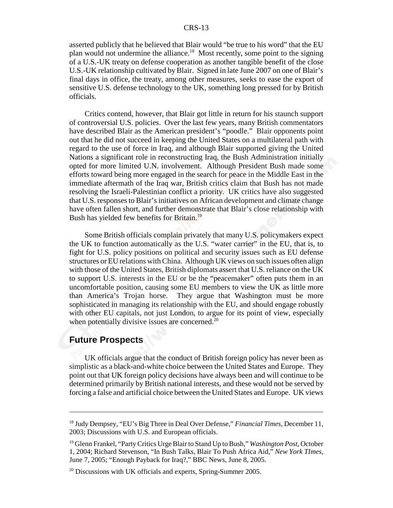asserted publicly that he believed that Blair would "be true to his word" that the EU plan would not undermine the alliance.18 Most recently, some point to the signing of a U.S.-UK treaty on defense cooperation as another tangible benefit of the close U.S.-UK relationship cultivated by Blair. Signed in late June 2007 on one of Blair's final days in office, the treaty, among other measures, seeks to ease the export of sensitive U.S. defense technology to the UK, something long pressed for by British officials.

Critics contend, however, that Blair got little in return for his staunch support of controversial U.S. policies. Over the last few years, many British commentators have described Blair as the American president's "poodle." Blair opponents point out that he did not succeed in keeping the United States on a multilateral path with regard to the use of force in Iraq, and although Blair supported giving the United Nations a significant role in reconstructing Iraq, the Bush Administration initially opted for more limited U.N. involvement. Although President Bush made some efforts toward being more engaged in the search for peace in the Middle East in the immediate aftermath of the Iraq war, British critics claim that Bush has not made resolving the Israeli-Palestinian conflict a priority. UK critics have also suggested that U.S. responses to Blair's initiatives on African development and climate change have often fallen short, and further demonstrate that Blair's close relationship with Bush has yielded few benefits for Britain.<sup>19</sup>

Some British officials complain privately that many U.S. policymakers expect the UK to function automatically as the U.S. "water carrier" in the EU, that is, to fight for U.S. policy positions on political and security issues such as EU defense structures or EU relations with China. Although UK views on such issues often align with those of the United States, British diplomats assert that U.S. reliance on the UK to support U.S. interests in the EU or be the "peacemaker" often puts them in an uncomfortable position, causing some EU members to view the UK as little more than America's Trojan horse. They argue that Washington must be more sophisticated in managing its relationship with the EU, and should engage robustly with other EU capitals, not just London, to argue for its point of view, especially when potentially divisive issues are concerned. $20$ 

#### **Future Prospects**

UK officials argue that the conduct of British foreign policy has never been as simplistic as a black-and-white choice between the United States and Europe. They point out that UK foreign policy decisions have always been and will continue to be determined primarily by British national interests, and these would not be served by forcing a false and artificial choice between the United States and Europe. UK views

<sup>18</sup> Judy Dempsey, "EU's Big Three in Deal Over Defense," *Financial Times*, December 11, 2003; Discussions with U.S. and European officials.

<sup>19</sup> Glenn Frankel, "Party Critics Urge Blair to Stand Up to Bush," *Washington Post*, October 1, 2004; Richard Stevenson, "In Bush Talks, Blair To Push Africa Aid," *New York TImes*, June 7, 2005; "Enough Payback for Iraq?," BBC News, June 8, 2005.

 $20$  Discussions with UK officials and experts, Spring-Summer 2005.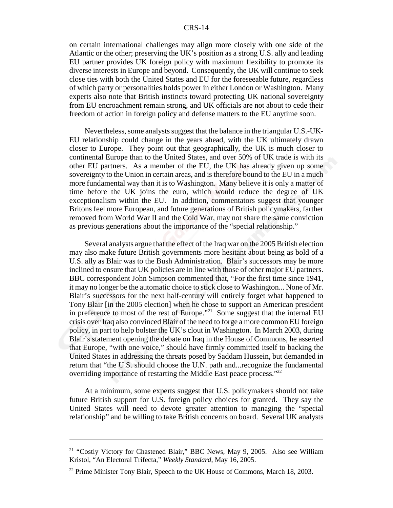on certain international challenges may align more closely with one side of the Atlantic or the other; preserving the UK's position as a strong U.S. ally and leading EU partner provides UK foreign policy with maximum flexibility to promote its diverse interests in Europe and beyond. Consequently, the UK will continue to seek close ties with both the United States and EU for the foreseeable future, regardless of which party or personalities holds power in either London or Washington. Many experts also note that British instincts toward protecting UK national sovereignty from EU encroachment remain strong, and UK officials are not about to cede their freedom of action in foreign policy and defense matters to the EU anytime soon.

Nevertheless, some analysts suggest that the balance in the triangular U.S.-UK-EU relationship could change in the years ahead, with the UK ultimately drawn closer to Europe. They point out that geographically, the UK is much closer to continental Europe than to the United States, and over 50% of UK trade is with its other EU partners. As a member of the EU, the UK has already given up some sovereignty to the Union in certain areas, and is therefore bound to the EU in a much more fundamental way than it is to Washington. Many believe it is only a matter of time before the UK joins the euro, which would reduce the degree of UK exceptionalism within the EU. In addition, commentators suggest that younger Britons feel more European, and future generations of British policymakers, farther removed from World War II and the Cold War, may not share the same conviction as previous generations about the importance of the "special relationship."

Several analysts argue that the effect of the Iraq war on the 2005 British election may also make future British governments more hesitant about being as bold of a U.S. ally as Blair was to the Bush Administration. Blair's successors may be more inclined to ensure that UK policies are in line with those of other major EU partners. BBC correspondent John Simpson commented that, "For the first time since 1941, it may no longer be the automatic choice to stick close to Washington... None of Mr. Blair's successors for the next half-century will entirely forget what happened to Tony Blair [in the 2005 election] when he chose to support an American president in preference to most of the rest of Europe."21 Some suggest that the internal EU crisis over Iraq also convinced Blair of the need to forge a more common EU foreign policy, in part to help bolster the UK's clout in Washington. In March 2003, during Blair's statement opening the debate on Iraq in the House of Commons, he asserted that Europe, "with one voice," should have firmly committed itself to backing the United States in addressing the threats posed by Saddam Hussein, but demanded in return that "the U.S. should choose the U.N. path and...recognize the fundamental overriding importance of restarting the Middle East peace process."<sup>22</sup>

At a minimum, some experts suggest that U.S. policymakers should not take future British support for U.S. foreign policy choices for granted. They say the United States will need to devote greater attention to managing the "special relationship" and be willing to take British concerns on board. Several UK analysts

<sup>&</sup>lt;sup>21</sup> "Costly Victory for Chastened Blair," BBC News, May 9, 2005. Also see William Kristol, "An Electoral Trifecta," *Weekly Standard*, May 16, 2005.

 $22$  Prime Minister Tony Blair, Speech to the UK House of Commons, March 18, 2003.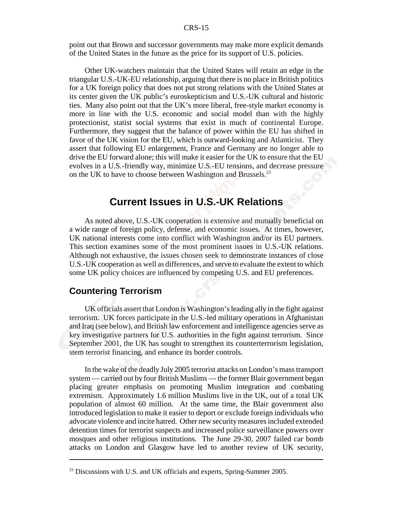point out that Brown and successor governments may make more explicit demands of the United States in the future as the price for its support of U.S. policies.

Other UK-watchers maintain that the United States will retain an edge in the triangular U.S.-UK-EU relationship, arguing that there is no place in British politics for a UK foreign policy that does not put strong relations with the United States at its center given the UK public's euroskepticism and U.S.-UK cultural and historic ties. Many also point out that the UK's more liberal, free-style market economy is more in line with the U.S. economic and social model than with the highly protectionist, statist social systems that exist in much of continental Europe. Furthermore, they suggest that the balance of power within the EU has shifted in favor of the UK vision for the EU, which is outward-looking and Atlanticist. They assert that following EU enlargement, France and Germany are no longer able to drive the EU forward alone; this will make it easier for the UK to ensure that the EU evolves in a U.S.-friendly way, minimize U.S.-EU tensions, and decrease pressure on the UK to have to choose between Washington and Brussels.<sup>23</sup>

# **Current Issues in U.S.-UK Relations**

As noted above, U.S.-UK cooperation is extensive and mutually beneficial on a wide range of foreign policy, defense, and economic issues. At times, however, UK national interests come into conflict with Washington and/or its EU partners. This section examines some of the most prominent issues in U.S.-UK relations. Although not exhaustive, the issues chosen seek to demonstrate instances of close U.S.-UK cooperation as well as differences, and serve to evaluate the extent to which some UK policy choices are influenced by competing U.S. and EU preferences.

## **Countering Terrorism**

UK officials assert that London is Washington's leading ally in the fight against terrorism. UK forces participate in the U.S.-led military operations in Afghanistan and Iraq (see below), and British law enforcement and intelligence agencies serve as key investigative partners for U.S. authorities in the fight against terrorism. Since September 2001, the UK has sought to strengthen its counterterrorism legislation, stem terrorist financing, and enhance its border controls.

In the wake of the deadly July 2005 terrorist attacks on London's mass transport system — carried out by four British Muslims — the former Blair government began placing greater emphasis on promoting Muslim integration and combating extremism. Approximately 1.6 million Muslims live in the UK, out of a total UK population of almost 60 million. At the same time, the Blair government also introduced legislation to make it easier to deport or exclude foreign individuals who advocate violence and incite hatred. Other new security measures included extended detention times for terrorist suspects and increased police surveillance powers over mosques and other religious institutions. The June 29-30, 2007 failed car bomb attacks on London and Glasgow have led to another review of UK security,

 $^{23}$  Discussions with U.S. and UK officials and experts, Spring-Summer 2005.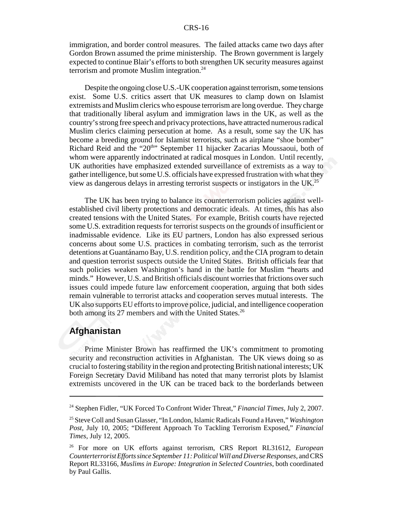immigration, and border control measures. The failed attacks came two days after Gordon Brown assumed the prime ministership. The Brown government is largely expected to continue Blair's efforts to both strengthen UK security measures against terrorism and promote Muslim integration.<sup>24</sup>

Despite the ongoing close U.S.-UK cooperation against terrorism, some tensions exist. Some U.S. critics assert that UK measures to clamp down on Islamist extremists and Muslim clerics who espouse terrorism are long overdue. They charge that traditionally liberal asylum and immigration laws in the UK, as well as the country's strong free speech and privacy protections, have attracted numerous radical Muslim clerics claiming persecution at home. As a result, some say the UK has become a breeding ground for Islamist terrorists, such as airplane "shoe bomber" Richard Reid and the "20<sup>th</sup>" September 11 hijacker Zacarias Moussaoui, both of whom were apparently indoctrinated at radical mosques in London. Until recently, UK authorities have emphasized extended surveillance of extremists as a way to gather intelligence, but some U.S. officials have expressed frustration with what they view as dangerous delays in arresting terrorist suspects or instigators in the UK.25

The UK has been trying to balance its counterterrorism policies against wellestablished civil liberty protections and democratic ideals. At times, this has also created tensions with the United States. For example, British courts have rejected some U.S. extradition requests for terrorist suspects on the grounds of insufficient or inadmissable evidence. Like its EU partners, London has also expressed serious concerns about some U.S. practices in combating terrorism, such as the terrorist detentions at Guantánamo Bay, U.S. rendition policy, and the CIA program to detain and question terrorist suspects outside the United States. British officials fear that such policies weaken Washington's hand in the battle for Muslim "hearts and minds." However, U.S. and British officials discount worries that frictions over such issues could impede future law enforcement cooperation, arguing that both sides remain vulnerable to terrorist attacks and cooperation serves mutual interests. The UK also supports EU efforts to improve police, judicial, and intelligence cooperation both among its 27 members and with the United States.<sup>26</sup>

#### **Afghanistan**

Prime Minister Brown has reaffirmed the UK's commitment to promoting security and reconstruction activities in Afghanistan. The UK views doing so as crucial to fostering stability in the region and protecting British national interests; UK Foreign Secretary David Miliband has noted that many terrorist plots by Islamist extremists uncovered in the UK can be traced back to the borderlands between

<sup>24</sup> Stephen Fidler, "UK Forced To Confront Wider Threat," *Financial Times*, July 2, 2007.

<sup>25</sup> Steve Coll and Susan Glasser, "In London, Islamic Radicals Found a Haven," *Washington Post*, July 10, 2005; "Different Approach To Tackling Terrorism Exposed," *Financial Times*, July 12, 2005.

<sup>26</sup> For more on UK efforts against terrorism, CRS Report RL31612, *European Counterterrorist Efforts since September 11: Political Will and Diverse Responses*, and CRS Report RL33166, *Muslims in Europe: Integration in Selected Countries*, both coordinated by Paul Gallis.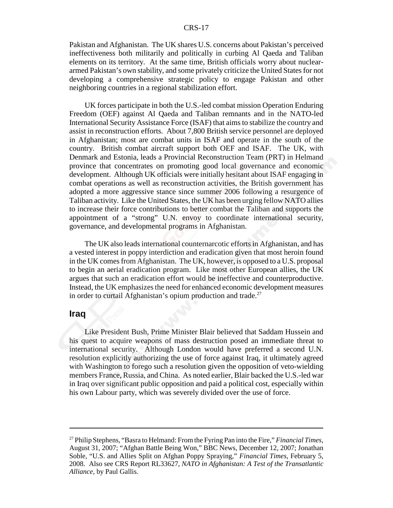Pakistan and Afghanistan. The UK shares U.S. concerns about Pakistan's perceived ineffectiveness both militarily and politically in curbing Al Qaeda and Taliban elements on its territory. At the same time, British officials worry about nucleararmed Pakistan's own stability, and some privately criticize the United States for not developing a comprehensive strategic policy to engage Pakistan and other neighboring countries in a regional stabilization effort.

UK forces participate in both the U.S.-led combat mission Operation Enduring Freedom (OEF) against Al Qaeda and Taliban remnants and in the NATO-led International Security Assistance Force (ISAF) that aims to stabilize the country and assist in reconstruction efforts. About 7,800 British service personnel are deployed in Afghanistan; most are combat units in ISAF and operate in the south of the country. British combat aircraft support both OEF and ISAF. The UK, with Denmark and Estonia, leads a Provincial Reconstruction Team (PRT) in Helmand province that concentrates on promoting good local governance and economic development. Although UK officials were initially hesitant about ISAF engaging in combat operations as well as reconstruction activities, the British government has adopted a more aggressive stance since summer 2006 following a resurgence of Taliban activity. Like the United States, the UK has been urging fellow NATO allies to increase their force contributions to better combat the Taliban and supports the appointment of a "strong" U.N. envoy to coordinate international security, governance, and developmental programs in Afghanistan.

The UK also leads international counternarcotic efforts in Afghanistan, and has a vested interest in poppy interdiction and eradication given that most heroin found in the UK comes from Afghanistan. The UK, however, is opposed to a U.S. proposal to begin an aerial eradication program. Like most other European allies, the UK argues that such an eradication effort would be ineffective and counterproductive. Instead, the UK emphasizes the need for enhanced economic development measures in order to curtail Afghanistan's opium production and trade. $27$ 

#### **Iraq**

Like President Bush, Prime Minister Blair believed that Saddam Hussein and his quest to acquire weapons of mass destruction posed an immediate threat to international security. Although London would have preferred a second U.N. resolution explicitly authorizing the use of force against Iraq, it ultimately agreed with Washington to forego such a resolution given the opposition of veto-wielding members France, Russia, and China. As noted earlier, Blair backed the U.S.-led war in Iraq over significant public opposition and paid a political cost, especially within his own Labour party, which was severely divided over the use of force.

<sup>27</sup> Philip Stephens, "Basra to Helmand: From the Fyring Pan into the Fire," *Financial Times*, August 31, 2007; "Afghan Battle Being Won," BBC News, December 12, 2007; Jonathan Soble, "U.S. and Allies Split on Afghan Poppy Spraying," *Financial Times*, February 5, 2008. Also see CRS Report RL33627, *NATO in Afghanistan: A Test of the Transatlantic Alliance*, by Paul Gallis.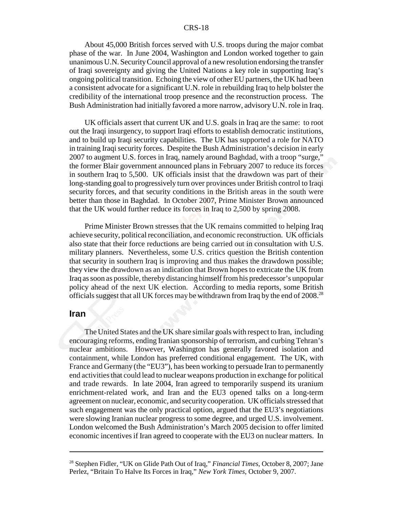About 45,000 British forces served with U.S. troops during the major combat phase of the war. In June 2004, Washington and London worked together to gain unanimous U.N. Security Council approval of a new resolution endorsing the transfer of Iraqi sovereignty and giving the United Nations a key role in supporting Iraq's ongoing political transition. Echoing the view of other EU partners, the UK had been a consistent advocate for a significant U.N. role in rebuilding Iraq to help bolster the credibility of the international troop presence and the reconstruction process. The Bush Administration had initially favored a more narrow, advisory U.N. role in Iraq.

UK officials assert that current UK and U.S. goals in Iraq are the same: to root out the Iraqi insurgency, to support Iraqi efforts to establish democratic institutions, and to build up Iraqi security capabilities. The UK has supported a role for NATO in training Iraqi security forces. Despite the Bush Administration's decision in early 2007 to augment U.S. forces in Iraq, namely around Baghdad, with a troop "surge," the former Blair government announced plans in February 2007 to reduce its forces in southern Iraq to 5,500. UK officials insist that the drawdown was part of their long-standing goal to progressively turn over provinces under British control to Iraqi security forces, and that security conditions in the British areas in the south were better than those in Baghdad. In October 2007, Prime Minister Brown announced that the UK would further reduce its forces in Iraq to 2,500 by spring 2008.

Prime Minister Brown stresses that the UK remains committed to helping Iraq achieve security, political reconciliation, and economic reconstruction. UK officials also state that their force reductions are being carried out in consultation with U.S. military planners. Nevertheless, some U.S. critics question the British contention that security in southern Iraq is improving and thus makes the drawdown possible; they view the drawdown as an indication that Brown hopes to extricate the UK from Iraq as soon as possible, thereby distancing himself from his predecessor's unpopular policy ahead of the next UK election. According to media reports, some British officials suggest that all UK forces may be withdrawn from Iraq by the end of 2008.<sup>28</sup>

#### **Iran**

The United States and the UK share similar goals with respect to Iran, including encouraging reforms, ending Iranian sponsorship of terrorism, and curbing Tehran's nuclear ambitions. However, Washington has generally favored isolation and containment, while London has preferred conditional engagement. The UK, with France and Germany (the "EU3"), has been working to persuade Iran to permanently end activities that could lead to nuclear weapons production in exchange for political and trade rewards. In late 2004, Iran agreed to temporarily suspend its uranium enrichment-related work, and Iran and the EU3 opened talks on a long-term agreement on nuclear, economic, and security cooperation. UK officials stressed that such engagement was the only practical option, argued that the EU3's negotiations were slowing Iranian nuclear progress to some degree, and urged U.S. involvement. London welcomed the Bush Administration's March 2005 decision to offer limited economic incentives if Iran agreed to cooperate with the EU3 on nuclear matters. In

<sup>28</sup> Stephen Fidler, "UK on Glide Path Out of Iraq," *Financial Times*, October 8, 2007; Jane Perlez, "Britain To Halve Its Forces in Iraq," *New York Times*, October 9, 2007.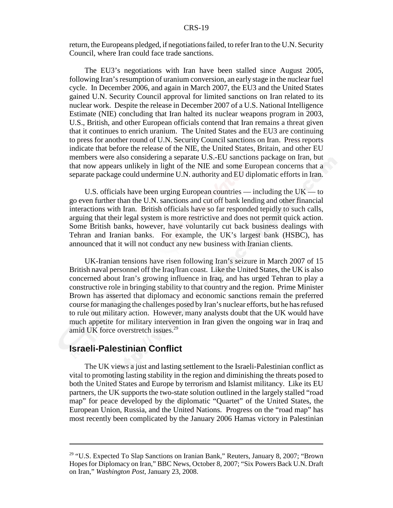return, the Europeans pledged, if negotiations failed, to refer Iran to the U.N. Security Council, where Iran could face trade sanctions.

The EU3's negotiations with Iran have been stalled since August 2005, following Iran's resumption of uranium conversion, an early stage in the nuclear fuel cycle. In December 2006, and again in March 2007, the EU3 and the United States gained U.N. Security Council approval for limited sanctions on Iran related to its nuclear work. Despite the release in December 2007 of a U.S. National Intelligence Estimate (NIE) concluding that Iran halted its nuclear weapons program in 2003, U.S., British, and other European officials contend that Iran remains a threat given that it continues to enrich uranium. The United States and the EU3 are continuing to press for another round of U.N. Security Council sanctions on Iran. Press reports indicate that before the release of the NIE, the United States, Britain, and other EU members were also considering a separate U.S.-EU sanctions package on Iran, but that now appears unlikely in light of the NIE and some European concerns that a separate package could undermine U.N. authority and EU diplomatic efforts in Iran.

U.S. officials have been urging European countries — including the  $UK - to$ go even further than the U.N. sanctions and cut off bank lending and other financial interactions with Iran. British officials have so far responded tepidly to such calls, arguing that their legal system is more restrictive and does not permit quick action. Some British banks, however, have voluntarily cut back business dealings with Tehran and Iranian banks. For example, the UK's largest bank (HSBC), has announced that it will not conduct any new business with Iranian clients.

UK-Iranian tensions have risen following Iran's seizure in March 2007 of 15 British naval personnel off the Iraq/Iran coast. Like the United States, the UK is also concerned about Iran's growing influence in Iraq, and has urged Tehran to play a constructive role in bringing stability to that country and the region. Prime Minister Brown has asserted that diplomacy and economic sanctions remain the preferred course for managing the challenges posed by Iran's nuclear efforts, but he has refused to rule out military action. However, many analysts doubt that the UK would have much appetite for military intervention in Iran given the ongoing war in Iraq and amid UK force overstretch issues.<sup>29</sup>

## **Israeli-Palestinian Conflict**

The UK views a just and lasting settlement to the Israeli-Palestinian conflict as vital to promoting lasting stability in the region and diminishing the threats posed to both the United States and Europe by terrorism and Islamist militancy. Like its EU partners, the UK supports the two-state solution outlined in the largely stalled "road map" for peace developed by the diplomatic "Quartet" of the United States, the European Union, Russia, and the United Nations. Progress on the "road map" has most recently been complicated by the January 2006 Hamas victory in Palestinian

<sup>&</sup>lt;sup>29</sup> "U.S. Expected To Slap Sanctions on Iranian Bank," Reuters, January 8, 2007; "Brown Hopes for Diplomacy on Iran," BBC News, October 8, 2007; "Six Powers Back U.N. Draft on Iran," *Washington Post*, January 23, 2008.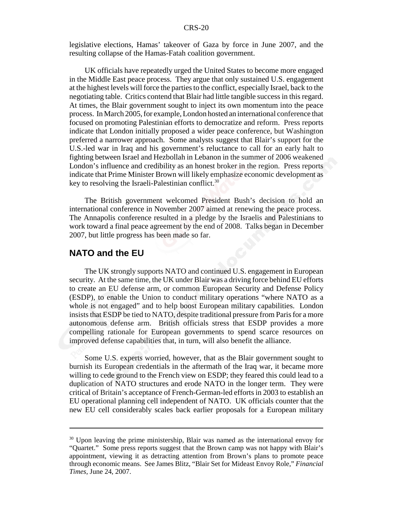legislative elections, Hamas' takeover of Gaza by force in June 2007, and the resulting collapse of the Hamas-Fatah coalition government.

UK officials have repeatedly urged the United States to become more engaged in the Middle East peace process. They argue that only sustained U.S. engagement at the highest levels will force the parties to the conflict, especially Israel, back to the negotiating table. Critics contend that Blair had little tangible success in this regard. At times, the Blair government sought to inject its own momentum into the peace process. In March 2005, for example, London hosted an international conference that focused on promoting Palestinian efforts to democratize and reform. Press reports indicate that London initially proposed a wider peace conference, but Washington preferred a narrower approach. Some analysts suggest that Blair's support for the U.S.-led war in Iraq and his government's reluctance to call for an early halt to fighting between Israel and Hezbollah in Lebanon in the summer of 2006 weakened London's influence and credibility as an honest broker in the region. Press reports indicate that Prime Minister Brown will likely emphasize economic development as key to resolving the Israeli-Palestinian conflict. $30$ 

The British government welcomed President Bush's decision to hold an international conference in November 2007 aimed at renewing the peace process. The Annapolis conference resulted in a pledge by the Israelis and Palestinians to work toward a final peace agreement by the end of 2008. Talks began in December 2007, but little progress has been made so far.

#### **NATO and the EU**

The UK strongly supports NATO and continued U.S. engagement in European security. At the same time, the UK under Blair was a driving force behind EU efforts to create an EU defense arm, or common European Security and Defense Policy (ESDP), to enable the Union to conduct military operations "where NATO as a whole is not engaged" and to help boost European military capabilities. London insists that ESDP be tied to NATO, despite traditional pressure from Paris for a more autonomous defense arm. British officials stress that ESDP provides a more compelling rationale for European governments to spend scarce resources on improved defense capabilities that, in turn, will also benefit the alliance.

Some U.S. experts worried, however, that as the Blair government sought to burnish its European credentials in the aftermath of the Iraq war, it became more willing to cede ground to the French view on ESDP; they feared this could lead to a duplication of NATO structures and erode NATO in the longer term. They were critical of Britain's acceptance of French-German-led efforts in 2003 to establish an EU operational planning cell independent of NATO. UK officials counter that the new EU cell considerably scales back earlier proposals for a European military

 $30$  Upon leaving the prime ministership, Blair was named as the international envoy for "Quartet." Some press reports suggest that the Brown camp was not happy with Blair's appointment, viewing it as detracting attention from Brown's plans to promote peace through economic means. See James Blitz, "Blair Set for Mideast Envoy Role," *Financial Times*, June 24, 2007.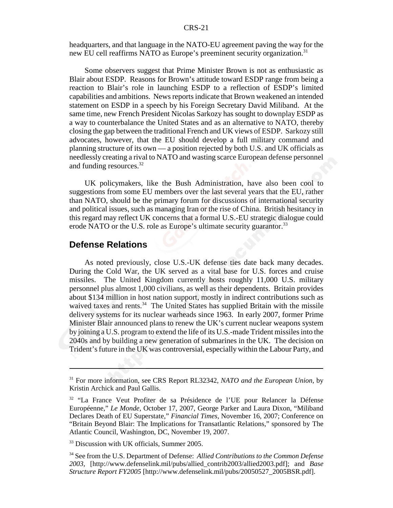headquarters, and that language in the NATO-EU agreement paving the way for the new EU cell reaffirms NATO as Europe's preeminent security organization.<sup>31</sup>

Some observers suggest that Prime Minister Brown is not as enthusiastic as Blair about ESDP. Reasons for Brown's attitude toward ESDP range from being a reaction to Blair's role in launching ESDP to a reflection of ESDP's limited capabilities and ambitions. News reports indicate that Brown weakened an intended statement on ESDP in a speech by his Foreign Secretary David Miliband. At the same time, new French President Nicolas Sarkozy has sought to downplay ESDP as a way to counterbalance the United States and as an alternative to NATO, thereby closing the gap between the traditional French and UK views of ESDP. Sarkozy still advocates, however, that the EU should develop a full military command and planning structure of its own — a position rejected by both U.S. and UK officials as needlessly creating a rival to NATO and wasting scarce European defense personnel and funding resources.<sup>32</sup>

UK policymakers, like the Bush Administration, have also been cool to suggestions from some EU members over the last several years that the EU, rather than NATO, should be the primary forum for discussions of international security and political issues, such as managing Iran or the rise of China. British hesitancy in this regard may reflect UK concerns that a formal U.S.-EU strategic dialogue could erode NATO or the U.S. role as Europe's ultimate security guarantor.<sup>33</sup>

#### **Defense Relations**

As noted previously, close U.S.-UK defense ties date back many decades. During the Cold War, the UK served as a vital base for U.S. forces and cruise missiles. The United Kingdom currently hosts roughly 11,000 U.S. military personnel plus almost 1,000 civilians, as well as their dependents. Britain provides about \$134 million in host nation support, mostly in indirect contributions such as waived taxes and rents.<sup>34</sup> The United States has supplied Britain with the missile delivery systems for its nuclear warheads since 1963. In early 2007, former Prime Minister Blair announced plans to renew the UK's current nuclear weapons system by joining a U.S. program to extend the life of its U.S.-made Trident missiles into the 2040s and by building a new generation of submarines in the UK. The decision on Trident's future in the UK was controversial, especially within the Labour Party, and

<sup>31</sup> For more information, see CRS Report RL32342, *NATO and the European Union,* by Kristin Archick and Paul Gallis.

<sup>&</sup>lt;sup>32</sup> "La France Veut Profiter de sa Présidence de l'UE pour Relancer la Défense Européenne," *Le Monde*, October 17, 2007, George Parker and Laura Dixon, "Miliband Declares Death of EU Superstate," *Financial Times*, November 16, 2007; Conference on "Britain Beyond Blair: The Implications for Transatlantic Relations," sponsored by The Atlantic Council, Washington, DC, November 19, 2007.

<sup>&</sup>lt;sup>33</sup> Discussion with UK officials, Summer 2005.

<sup>34</sup> See from the U.S. Department of Defense: *Allied Contributions to the Common Defense 2003*, [http://www.defenselink.mil/pubs/allied\_contrib2003/allied2003.pdf]; and *Base Structure Report FY2005* [http://www.defenselink.mil/pubs/20050527\_2005BSR.pdf].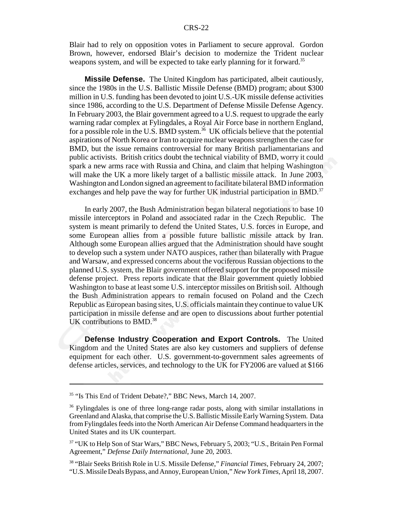Blair had to rely on opposition votes in Parliament to secure approval. Gordon Brown, however, endorsed Blair's decision to modernize the Trident nuclear weapons system, and will be expected to take early planning for it forward.<sup>35</sup>

**Missile Defense.** The United Kingdom has participated, albeit cautiously, since the 1980s in the U.S. Ballistic Missile Defense (BMD) program; about \$300 million in U.S. funding has been devoted to joint U.S.-UK missile defense activities since 1986, according to the U.S. Department of Defense Missile Defense Agency. In February 2003, the Blair government agreed to a U.S. request to upgrade the early warning radar complex at Fylingdales, a Royal Air Force base in northern England, for a possible role in the U.S. BMD system.<sup>36</sup> UK officials believe that the potential aspirations of North Korea or Iran to acquire nuclear weapons strengthen the case for BMD, but the issue remains controversial for many British parliamentarians and public activists. British critics doubt the technical viability of BMD, worry it could spark a new arms race with Russia and China, and claim that helping Washington will make the UK a more likely target of a ballistic missile attack. In June 2003, Washington and London signed an agreement to facilitate bilateral BMD information exchanges and help pave the way for further UK industrial participation in BMD.<sup>37</sup>

In early 2007, the Bush Administration began bilateral negotiations to base 10 missile interceptors in Poland and associated radar in the Czech Republic. The system is meant primarily to defend the United States, U.S. forces in Europe, and some European allies from a possible future ballistic missile attack by Iran. Although some European allies argued that the Administration should have sought to develop such a system under NATO auspices, rather than bilaterally with Prague and Warsaw, and expressed concerns about the vociferous Russian objections to the planned U.S. system, the Blair government offered support for the proposed missile defense project. Press reports indicate that the Blair government quietly lobbied Washington to base at least some U.S. interceptor missiles on British soil. Although the Bush Administration appears to remain focused on Poland and the Czech Republic as European basing sites, U.S. officials maintain they continue to value UK participation in missile defense and are open to discussions about further potential UK contributions to  $BMD<sup>38</sup>$ 

**Defense Industry Cooperation and Export Controls.** The United Kingdom and the United States are also key customers and suppliers of defense equipment for each other. U.S. government-to-government sales agreements of defense articles, services, and technology to the UK for FY2006 are valued at \$166

<sup>&</sup>lt;sup>35</sup> "Is This End of Trident Debate?," BBC News, March 14, 2007.

<sup>&</sup>lt;sup>36</sup> Fylingdales is one of three long-range radar posts, along with similar installations in Greenland and Alaska, that comprise the U.S. Ballistic Missile Early Warning System. Data from Fylingdales feeds into the North American Air Defense Command headquarters in the United States and its UK counterpart.

<sup>&</sup>lt;sup>37</sup> "UK to Help Son of Star Wars," BBC News, February 5, 2003; "U.S., Britain Pen Formal Agreement," *Defense Daily International*, June 20, 2003.

<sup>38 &</sup>quot;Blair Seeks British Role in U.S. Missile Defense," *Financial Times*, February 24, 2007; "U.S. Missile Deals Bypass, and Annoy, European Union," *New York Times*, April 18, 2007.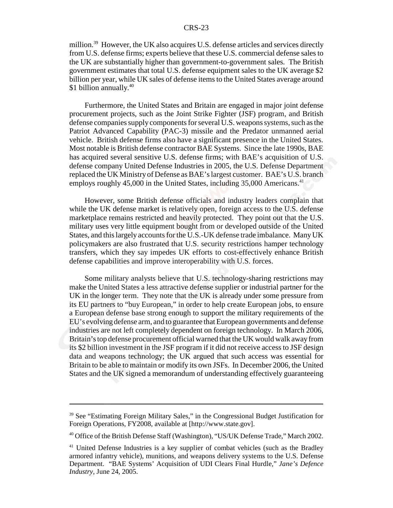million.<sup>39</sup> However, the UK also acquires U.S. defense articles and services directly from U.S. defense firms; experts believe that these U.S. commercial defense sales to the UK are substantially higher than government-to-government sales. The British government estimates that total U.S. defense equipment sales to the UK average \$2 billion per year, while UK sales of defense items to the United States average around \$1 billion annually. $40$ 

Furthermore, the United States and Britain are engaged in major joint defense procurement projects, such as the Joint Strike Fighter (JSF) program, and British defense companies supply components for several U.S. weapons systems, such as the Patriot Advanced Capability (PAC-3) missile and the Predator unmanned aerial vehicle. British defense firms also have a significant presence in the United States. Most notable is British defense contractor BAE Systems. Since the late 1990s, BAE has acquired several sensitive U.S. defense firms; with BAE's acquisition of U.S. defense company United Defense Industries in 2005, the U.S. Defense Department replaced the UK Ministry of Defense as BAE's largest customer. BAE's U.S. branch employs roughly 45,000 in the United States, including 35,000 Americans.<sup>41</sup>

However, some British defense officials and industry leaders complain that while the UK defense market is relatively open, foreign access to the U.S. defense marketplace remains restricted and heavily protected. They point out that the U.S. military uses very little equipment bought from or developed outside of the United States, and this largely accounts for the U.S.-UK defense trade imbalance. Many UK policymakers are also frustrated that U.S. security restrictions hamper technology transfers, which they say impedes UK efforts to cost-effectively enhance British defense capabilities and improve interoperability with U.S. forces.

Some military analysts believe that U.S. technology-sharing restrictions may make the United States a less attractive defense supplier or industrial partner for the UK in the longer term. They note that the UK is already under some pressure from its EU partners to "buy European," in order to help create European jobs, to ensure a European defense base strong enough to support the military requirements of the EU's evolving defense arm, and to guarantee that European governments and defense industries are not left completely dependent on foreign technology. In March 2006, Britain's top defense procurement official warned that the UK would walk away from its \$2 billion investment in the JSF program if it did not receive access to JSF design data and weapons technology; the UK argued that such access was essential for Britain to be able to maintain or modify its own JSFs. In December 2006, the United States and the UK signed a memorandum of understanding effectively guaranteeing

<sup>&</sup>lt;sup>39</sup> See "Estimating Foreign Military Sales," in the Congressional Budget Justification for Foreign Operations, FY2008, available at [http://www.state.gov].

<sup>40</sup> Office of the British Defense Staff (Washington), "US/UK Defense Trade," March 2002.

<sup>&</sup>lt;sup>41</sup> United Defense Industries is a key supplier of combat vehicles (such as the Bradley armored infantry vehicle), munitions, and weapons delivery systems to the U.S. Defense Department. "BAE Systems' Acquisition of UDI Clears Final Hurdle," *Jane's Defence Industry*, June 24, 2005.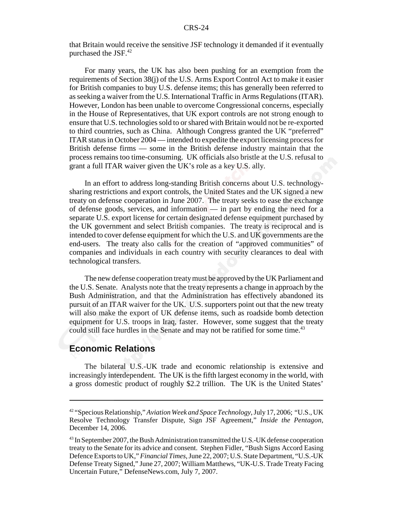that Britain would receive the sensitive JSF technology it demanded if it eventually purchased the JSF.<sup>42</sup>

For many years, the UK has also been pushing for an exemption from the requirements of Section 38(j) of the U.S. Arms Export Control Act to make it easier for British companies to buy U.S. defense items; this has generally been referred to as seeking a waiver from the U.S. International Traffic in Arms Regulations (ITAR). However, London has been unable to overcome Congressional concerns, especially in the House of Representatives, that UK export controls are not strong enough to ensure that U.S. technologies sold to or shared with Britain would not be re-exported to third countries, such as China. Although Congress granted the UK "preferred" ITAR status in October 2004 — intended to expedite the export licensing process for British defense firms — some in the British defense industry maintain that the process remains too time-consuming. UK officials also bristle at the U.S. refusal to grant a full ITAR waiver given the UK's role as a key U.S. ally.

In an effort to address long-standing British concerns about U.S. technologysharing restrictions and export controls, the United States and the UK signed a new treaty on defense cooperation in June 2007. The treaty seeks to ease the exchange of defense goods, services, and information — in part by ending the need for a separate U.S. export license for certain designated defense equipment purchased by the UK government and select British companies. The treaty is reciprocal and is intended to cover defense equipment for which the U.S. and UK governments are the end-users. The treaty also calls for the creation of "approved communities" of companies and individuals in each country with security clearances to deal with technological transfers.

The new defense cooperation treaty must be approved by the UK Parliament and the U.S. Senate. Analysts note that the treaty represents a change in approach by the Bush Administration, and that the Administration has effectively abandoned its pursuit of an ITAR waiver for the UK. U.S. supporters point out that the new treaty will also make the export of UK defense items, such as roadside bomb detection equipment for U.S. troops in Iraq, faster. However, some suggest that the treaty could still face hurdles in the Senate and may not be ratified for some time.<sup>43</sup>

## **Economic Relations**

The bilateral U.S.-UK trade and economic relationship is extensive and increasingly interdependent. The UK is the fifth largest economy in the world, with a gross domestic product of roughly \$2.2 trillion. The UK is the United States'

<sup>42 &</sup>quot;Specious Relationship," *Aviation Week and Space Technology*, July 17, 2006; "U.S., UK Resolve Technology Transfer Dispute, Sign JSF Agreement," *Inside the Pentagon*, December 14, 2006.

<sup>&</sup>lt;sup>43</sup> In September 2007, the Bush Administration transmitted the U.S.-UK defense cooperation treaty to the Senate for its advice and consent. Stephen Fidler, "Bush Signs Accord Easing Defence Exports to UK," *Financial Times*, June 22, 2007; U.S. State Department, "U.S.-UK Defense Treaty Signed," June 27, 2007; William Matthews, "UK-U.S. Trade Treaty Facing Uncertain Future," DefenseNews.com, July 7, 2007.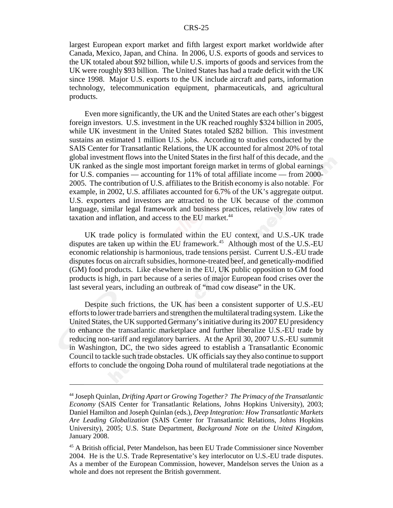largest European export market and fifth largest export market worldwide after Canada, Mexico, Japan, and China. In 2006, U.S. exports of goods and services to the UK totaled about \$92 billion, while U.S. imports of goods and services from the UK were roughly \$93 billion. The United States has had a trade deficit with the UK since 1998. Major U.S. exports to the UK include aircraft and parts, information technology, telecommunication equipment, pharmaceuticals, and agricultural products.

Even more significantly, the UK and the United States are each other's biggest foreign investors. U.S. investment in the UK reached roughly \$324 billion in 2005, while UK investment in the United States totaled \$282 billion. This investment sustains an estimated 1 million U.S. jobs. According to studies conducted by the SAIS Center for Transatlantic Relations, the UK accounted for almost 20% of total global investment flows into the United States in the first half of this decade, and the UK ranked as the single most important foreign market in terms of global earnings for U.S. companies — accounting for 11% of total affiliate income — from 2000- 2005. The contribution of U.S. affiliates to the British economy is also notable. For example, in 2002, U.S. affiliates accounted for 6.7% of the UK's aggregate output. U.S. exporters and investors are attracted to the UK because of the common language, similar legal framework and business practices, relatively low rates of taxation and inflation, and access to the EU market.<sup>44</sup>

UK trade policy is formulated within the EU context, and U.S.-UK trade disputes are taken up within the EU framework.<sup>45</sup> Although most of the U.S.-EU economic relationship is harmonious, trade tensions persist. Current U.S.-EU trade disputes focus on aircraft subsidies, hormone-treated beef, and genetically-modified (GM) food products. Like elsewhere in the EU, UK public opposition to GM food products is high, in part because of a series of major European food crises over the last several years, including an outbreak of "mad cow disease" in the UK.

Despite such frictions, the UK has been a consistent supporter of U.S.-EU efforts to lower trade barriers and strengthen the multilateral trading system. Like the United States, the UK supported Germany's initiative during its 2007 EU presidency to enhance the transatlantic marketplace and further liberalize U.S.-EU trade by reducing non-tariff and regulatory barriers. At the April 30, 2007 U.S.-EU summit in Washington, DC, the two sides agreed to establish a Transatlantic Economic Council to tackle such trade obstacles. UK officials say they also continue to support efforts to conclude the ongoing Doha round of multilateral trade negotiations at the

<sup>44</sup> Joseph Quinlan, *Drifting Apart or Growing Together? The Primacy of the Transatlantic Economy* (SAIS Center for Transatlantic Relations, Johns Hopkins University), 2003; Daniel Hamilton and Joseph Quinlan (eds.), *Deep Integration: How Transatlantic Markets Are Leading Globalization* (SAIS Center for Transatlantic Relations, Johns Hopkins University), 2005; U.S. State Department, *Background Note on the United Kingdom*, January 2008.

<sup>45</sup> A British official, Peter Mandelson, has been EU Trade Commissioner since November 2004. He is the U.S. Trade Representative's key interlocutor on U.S.-EU trade disputes. As a member of the European Commission, however, Mandelson serves the Union as a whole and does not represent the British government.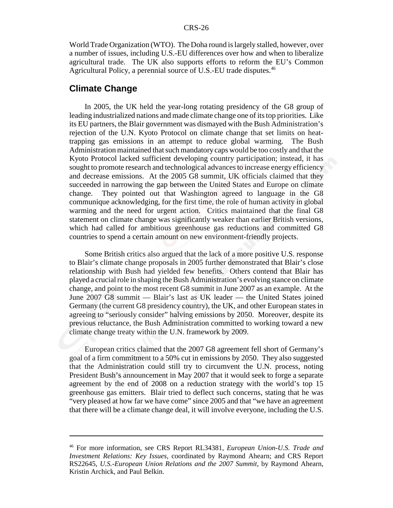World Trade Organization (WTO). The Doha round is largely stalled, however, over a number of issues, including U.S.-EU differences over how and when to liberalize agricultural trade. The UK also supports efforts to reform the EU's Common Agricultural Policy, a perennial source of U.S.-EU trade disputes.<sup>46</sup>

#### **Climate Change**

In 2005, the UK held the year-long rotating presidency of the G8 group of leading industrialized nations and made climate change one of its top priorities. Like its EU partners, the Blair government was dismayed with the Bush Administration's rejection of the U.N. Kyoto Protocol on climate change that set limits on heattrapping gas emissions in an attempt to reduce global warming. The Bush Administration maintained that such mandatory caps would be too costly and that the Kyoto Protocol lacked sufficient developing country participation; instead, it has sought to promote research and technological advances to increase energy efficiency and decrease emissions. At the 2005 G8 summit, UK officials claimed that they succeeded in narrowing the gap between the United States and Europe on climate change. They pointed out that Washington agreed to language in the G8 communique acknowledging, for the first time, the role of human activity in global warming and the need for urgent action. Critics maintained that the final G8 statement on climate change was significantly weaker than earlier British versions, which had called for ambitious greenhouse gas reductions and committed G8 countries to spend a certain amount on new environment-friendly projects.

Some British critics also argued that the lack of a more positive U.S. response to Blair's climate change proposals in 2005 further demonstrated that Blair's close relationship with Bush had yielded few benefits. Others contend that Blair has played a crucial role in shaping the Bush Administration's evolving stance on climate change, and point to the most recent G8 summit in June 2007 as an example. At the June 2007 G8 summit — Blair's last as UK leader — the United States joined Germany (the current G8 presidency country), the UK, and other European states in agreeing to "seriously consider" halving emissions by 2050. Moreover, despite its previous reluctance, the Bush Administration committed to working toward a new climate change treaty within the U.N. framework by 2009.

European critics claimed that the 2007 G8 agreement fell short of Germany's goal of a firm commitment to a 50% cut in emissions by 2050. They also suggested that the Administration could still try to circumvent the U.N. process, noting President Bush's announcement in May 2007 that it would seek to forge a separate agreement by the end of 2008 on a reduction strategy with the world's top 15 greenhouse gas emitters. Blair tried to deflect such concerns, stating that he was "very pleased at how far we have come" since 2005 and that "we have an agreement that there will be a climate change deal, it will involve everyone, including the U.S.

<sup>46</sup> For more information, see CRS Report RL34381, *European Union-U.S. Trade and Investment Relations: Key Issues*, coordinated by Raymond Ahearn; and CRS Report RS22645, *U.S.-European Union Relations and the 2007 Summit*, by Raymond Ahearn, Kristin Archick, and Paul Belkin.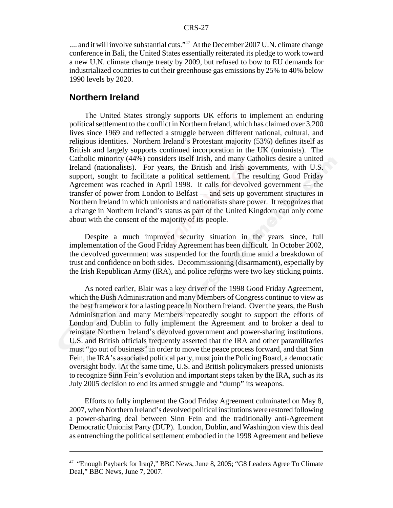.... and it will involve substantial cuts."<sup>47</sup> At the December 2007 U.N. climate change conference in Bali, the United States essentially reiterated its pledge to work toward a new U.N. climate change treaty by 2009, but refused to bow to EU demands for industrialized countries to cut their greenhouse gas emissions by 25% to 40% below 1990 levels by 2020.

#### **Northern Ireland**

The United States strongly supports UK efforts to implement an enduring political settlement to the conflict in Northern Ireland, which has claimed over 3,200 lives since 1969 and reflected a struggle between different national, cultural, and religious identities. Northern Ireland's Protestant majority (53%) defines itself as British and largely supports continued incorporation in the UK (unionists). The Catholic minority (44%) considers itself Irish, and many Catholics desire a united Ireland (nationalists). For years, the British and Irish governments, with U.S. support, sought to facilitate a political settlement. The resulting Good Friday Agreement was reached in April 1998. It calls for devolved government — the transfer of power from London to Belfast — and sets up government structures in Northern Ireland in which unionists and nationalists share power. It recognizes that a change in Northern Ireland's status as part of the United Kingdom can only come about with the consent of the majority of its people.

Despite a much improved security situation in the years since, full implementation of the Good Friday Agreement has been difficult. In October 2002, the devolved government was suspended for the fourth time amid a breakdown of trust and confidence on both sides. Decommissioning (disarmament), especially by the Irish Republican Army (IRA), and police reforms were two key sticking points.

As noted earlier, Blair was a key driver of the 1998 Good Friday Agreement, which the Bush Administration and many Members of Congress continue to view as the best framework for a lasting peace in Northern Ireland. Over the years, the Bush Administration and many Members repeatedly sought to support the efforts of London and Dublin to fully implement the Agreement and to broker a deal to reinstate Northern Ireland's devolved government and power-sharing institutions. U.S. and British officials frequently asserted that the IRA and other paramilitaries must "go out of business" in order to move the peace process forward, and that Sinn Fein, the IRA's associated political party, must join the Policing Board, a democratic oversight body. At the same time, U.S. and British policymakers pressed unionists to recognize Sinn Fein's evolution and important steps taken by the IRA, such as its July 2005 decision to end its armed struggle and "dump" its weapons.

Efforts to fully implement the Good Friday Agreement culminated on May 8, 2007, when Northern Ireland's devolved political institutions were restored following a power-sharing deal between Sinn Fein and the traditionally anti-Agreement Democratic Unionist Party (DUP). London, Dublin, and Washington view this deal as entrenching the political settlement embodied in the 1998 Agreement and believe

<sup>&</sup>lt;sup>47</sup> "Enough Payback for Iraq?," BBC News, June 8, 2005; "G8 Leaders Agree To Climate Deal," BBC News, June 7, 2007.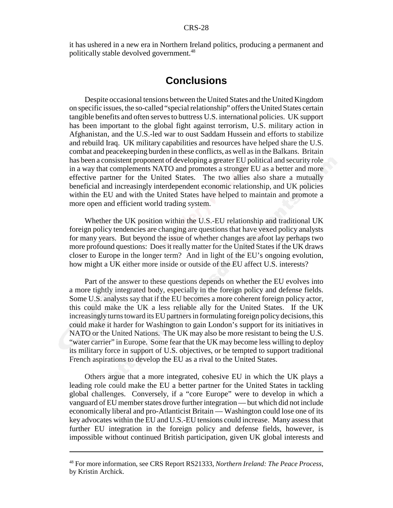it has ushered in a new era in Northern Ireland politics, producing a permanent and politically stable devolved government.<sup>48</sup>

# **Conclusions**

Despite occasional tensions between the United States and the United Kingdom on specific issues, the so-called "special relationship" offers the United States certain tangible benefits and often serves to buttress U.S. international policies. UK support has been important to the global fight against terrorism, U.S. military action in Afghanistan, and the U.S.-led war to oust Saddam Hussein and efforts to stabilize and rebuild Iraq. UK military capabilities and resources have helped share the U.S. combat and peacekeeping burden in these conflicts, as well as in the Balkans. Britain has been a consistent proponent of developing a greater EU political and security role in a way that complements NATO and promotes a stronger EU as a better and more effective partner for the United States. The two allies also share a mutually beneficial and increasingly interdependent economic relationship, and UK policies within the EU and with the United States have helped to maintain and promote a more open and efficient world trading system.

Whether the UK position within the U.S.-EU relationship and traditional UK foreign policy tendencies are changing are questions that have vexed policy analysts for many years. But beyond the issue of whether changes are afoot lay perhaps two more profound questions: Does it really matter for the United States if the UK draws closer to Europe in the longer term? And in light of the EU's ongoing evolution, how might a UK either more inside or outside of the EU affect U.S. interests?

Part of the answer to these questions depends on whether the EU evolves into a more tightly integrated body, especially in the foreign policy and defense fields. Some U.S. analysts say that if the EU becomes a more coherent foreign policy actor, this could make the UK a less reliable ally for the United States. If the UK increasingly turns toward its EU partners in formulating foreign policy decisions, this could make it harder for Washington to gain London's support for its initiatives in NATO or the United Nations. The UK may also be more resistant to being the U.S. "water carrier" in Europe. Some fear that the UK may become less willing to deploy its military force in support of U.S. objectives, or be tempted to support traditional French aspirations to develop the EU as a rival to the United States.

Others argue that a more integrated, cohesive EU in which the UK plays a leading role could make the EU a better partner for the United States in tackling global challenges. Conversely, if a "core Europe" were to develop in which a vanguard of EU member states drove further integration — but which did not include economically liberal and pro-Atlanticist Britain — Washington could lose one of its key advocates within the EU and U.S.-EU tensions could increase. Many assess that further EU integration in the foreign policy and defense fields, however, is impossible without continued British participation, given UK global interests and

<sup>48</sup> For more information, see CRS Report RS21333, *Northern Ireland: The Peace Process*, by Kristin Archick.